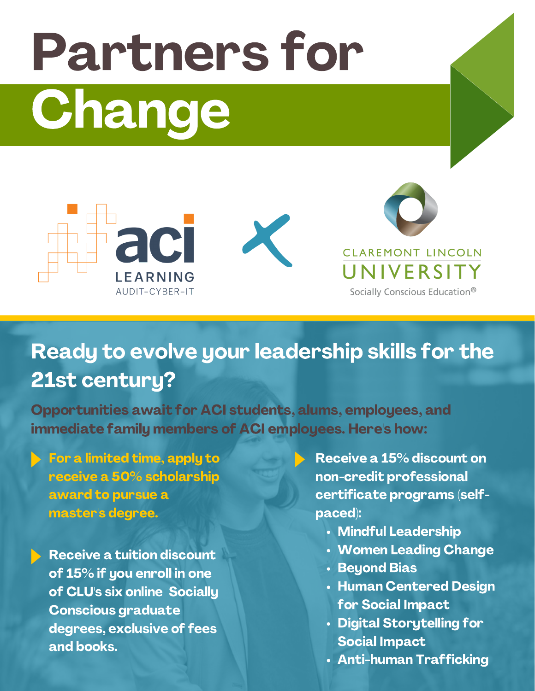# Partners for Change



## Ready to evolve your leadership skills for the 21st century?

Opportunities await for ACI students, alums, employees, and immediate family members of ACI employees. Here's how:

- For a limited time, apply to receive a 50% scholarship award to pursue a master's degree.
	- Receive a tuition discount of 15% if you enroll in one of CLU's six online Socially Conscious graduate degrees, exclusive of fees and books.
- Receive a 15% discount on non-credit professional certificate programs (selfpaced):
	- Mindful Leadership
	- Women Leading Change
	- **· Beyond Bias**
	- Human Centered Design for Social Impact
	- Digital Storytelling for Social Impact
	- Anti-human Trafficking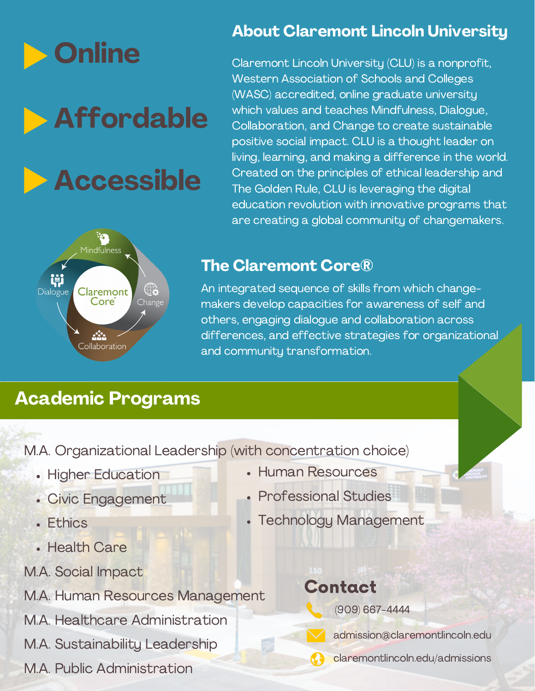

## Affordable

# Accessible

#### About Claremont Lincoln University

Claremont Lincoln University (CLU) is a nonprofit, Western Association of Schools and Colleges (WASC) accredited, online graduate university which values and teaches Mindfulness, Dialogue, Collaboration, and Change to create sustainable positive social impact. CLU is a thought leader on living, learning, and making a difference in the world. Created on the principles of ethical leadership and The Golden Rule, CLU is leveraging the digital education revolution with innovative programs that are creating a global community of changemakers.



#### The Claremont Core®

An integrated sequence of skills from which changemakers develop capacities for awareness of self and others, engaging dialogue and collaboration across differences, and effective strategies for organizational and community transformation.

#### Academic Programs

M.A. Organizational Leadership (with concentration choice)

- Higher Education
- Civic Engagement
- Fthics
- Health Care
- M.A. Social Impact

M.A. Human Resources Management

M.A. Healthcare Administration

M.A. Sustainability Leadership

M.A. Public Administration

- Human Resources
- Professional Studies
- Technology Management

#### Contact



(909) 667-4444



admission@claremontlincoln.edu

claremontlincoln.edu/admissions